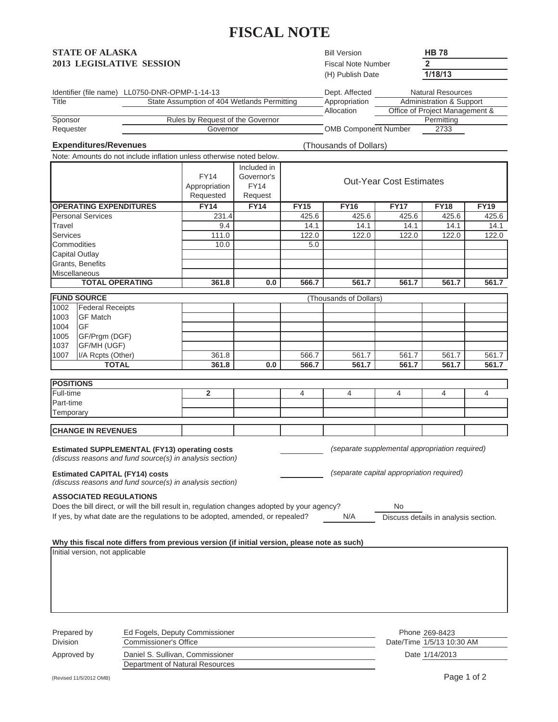# **FISCAL NOTE**

## **STATE OF ALASKA 2013 LEGISLATIVE SESSION**

Bill Version Fiscal Note Number **2** (H) Publish Date **1/18/13**

**HB 78**

| Identifier (file name) | LL0750-DNR-OPMP-1-14-13                     | Dept. Affected              | Natural Resources              |
|------------------------|---------------------------------------------|-----------------------------|--------------------------------|
| Title                  | State Assumption of 404 Wetlands Permitting | Appropriation               | Administration & Support       |
|                        |                                             | Allocation                  | Office of Project Management & |
| Sponsor                | Rules by Request of the Governor            |                             | Permitting                     |
| Requester              | Governor                                    | <b>OMB Component Number</b> | 2733                           |

**Expenditures/Revenues** (Thousands of Dollars)

Note: Amounts do not include inflation unless otherwise noted below.

|                               | <b>FY14</b><br>Appropriation<br>Requested | Included in<br>Governor's<br><b>FY14</b><br>Request | <b>Out-Year Cost Estimates</b> |             |             |             |             |
|-------------------------------|-------------------------------------------|-----------------------------------------------------|--------------------------------|-------------|-------------|-------------|-------------|
| <b>OPERATING EXPENDITURES</b> | <b>FY14</b>                               | <b>FY14</b>                                         | <b>FY15</b>                    | <b>FY16</b> | <b>FY17</b> | <b>FY18</b> | <b>FY19</b> |
| <b>Personal Services</b>      | 231.4                                     |                                                     | 425.6                          | 425.6       | 425.6       | 425.6       | 425.6       |
| Travel                        | 9.4                                       |                                                     | 14.1                           | 14.1        | 14.1        | 14.1        | 14.1        |
| Services                      | 111.0                                     |                                                     | 122.0                          | 122.0       | 122.0       | 122.0       | 122.0       |
| Commodities                   | 10.0                                      |                                                     | 5.0                            |             |             |             |             |
| <b>Capital Outlay</b>         |                                           |                                                     |                                |             |             |             |             |
| Grants, Benefits              |                                           |                                                     |                                |             |             |             |             |
| <b>Miscellaneous</b>          |                                           |                                                     |                                |             |             |             |             |
| <b>TOTAL OPERATING</b>        | 361.8                                     | 0.0                                                 | 566.7                          | 561.7       | 561.7       | 561.7       | 561.7       |
| <b>FUND SOURCE</b>            | (Thousands of Dollars)                    |                                                     |                                |             |             |             |             |
|                               |                                           |                                                     |                                |             |             |             |             |

|      | <b>TOTAL</b>            | 361.8 | 0.0 | 566.7 | 561.7 | 561.7 | 561.7 | 561.7 |
|------|-------------------------|-------|-----|-------|-------|-------|-------|-------|
| 1007 | I/A Rcpts (Other)       | 361.8 |     | 566.7 | 561.7 | 561.7 | 561.7 | 561.7 |
| 1037 | <b>GF/MH (UGF)</b>      |       |     |       |       |       |       |       |
| 1005 | GF/Prgm (DGF)           |       |     |       |       |       |       |       |
| 1004 | IGF                     |       |     |       |       |       |       |       |
| 1003 | <b>GF Match</b>         |       |     |       |       |       |       |       |
| 1002 | <b>Federal Receipts</b> |       |     |       |       |       |       |       |

| <b>POSITIONS</b>          |  |  |  |  |  |  |  |
|---------------------------|--|--|--|--|--|--|--|
| Full-time                 |  |  |  |  |  |  |  |
| Part-time                 |  |  |  |  |  |  |  |
| Temporary                 |  |  |  |  |  |  |  |
|                           |  |  |  |  |  |  |  |
| <b>CHANGE IN REVENUES</b> |  |  |  |  |  |  |  |

Estimated SUPPLEMENTAL (FY13) operating costs *contained appropriation required*) (separate supplemental appropriation required) *(discuss reasons and fund source(s) in analysis section) (separate capital appropriation required) (discuss reasons and fund source(s) in analysis section)* **Estimated CAPITAL (FY14) costs**

#### **ASSOCIATED REGULATIONS**

| Does the bill direct, or will the bill result in, regulation changes adopted by your agency? |     | Nc                                   |  |
|----------------------------------------------------------------------------------------------|-----|--------------------------------------|--|
| If yes, by what date are the regulations to be adopted, amended, or repealed?                | N/A | Discuss details in analysis section. |  |

#### **Why this fiscal note differs from previous version (if initial version, please note as such)**

| Initial version, not applicable |                                                                     |                                             |
|---------------------------------|---------------------------------------------------------------------|---------------------------------------------|
| Prepared by<br><b>Division</b>  | Ed Fogels, Deputy Commissioner<br>Commissioner's Office             | Phone 269-8423<br>Date/Time 1/5/13 10:30 AM |
| Approved by                     | Daniel S. Sullivan, Commissioner<br>Department of Natural Resources | Date 1/14/2013                              |

(Revised 11/5/2012 OMB) Page 1 of 2